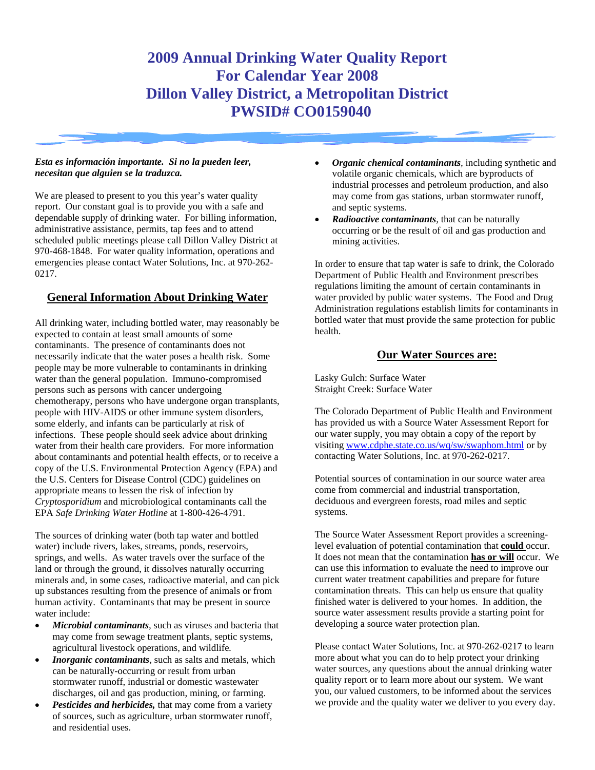# **2009 Annual Drinking Water Quality Report For Calendar Year 2008 Dillon Valley District, a Metropolitan District PWSID# CO0159040**

#### *Esta es información importante. Si no la pueden leer, necesitan que alguien se la traduzca.*

We are pleased to present to you this year's water quality report. Our constant goal is to provide you with a safe and dependable supply of drinking water. For billing information, administrative assistance, permits, tap fees and to attend scheduled public meetings please call Dillon Valley District at 970-468-1848. For water quality information, operations and emergencies please contact Water Solutions, Inc. at 970-262- 0217.

# **General Information About Drinking Water**

All drinking water, including bottled water, may reasonably be expected to contain at least small amounts of some contaminants. The presence of contaminants does not necessarily indicate that the water poses a health risk. Some people may be more vulnerable to contaminants in drinking water than the general population. Immuno-compromised persons such as persons with cancer undergoing chemotherapy, persons who have undergone organ transplants, people with HIV-AIDS or other immune system disorders, some elderly, and infants can be particularly at risk of infections. These people should seek advice about drinking water from their health care providers. For more information about contaminants and potential health effects, or to receive a copy of the U.S. Environmental Protection Agency (EPA) and the U.S. Centers for Disease Control (CDC) guidelines on appropriate means to lessen the risk of infection by *Cryptosporidium* and microbiological contaminants call the EPA *Safe Drinking Water Hotline* at 1-800-426-4791.

The sources of drinking water (both tap water and bottled water) include rivers, lakes, streams, ponds, reservoirs, springs, and wells. As water travels over the surface of the land or through the ground, it dissolves naturally occurring minerals and, in some cases, radioactive material, and can pick up substances resulting from the presence of animals or from human activity. Contaminants that may be present in source water include:

- *Microbial contaminants,* such as viruses and bacteria that may come from sewage treatment plants, septic systems, agricultural livestock operations, and wildlife*.*
- *Inorganic contaminants*, such as salts and metals, which can be naturally-occurring or result from urban stormwater runoff, industrial or domestic wastewater discharges, oil and gas production, mining, or farming.
- *Pesticides and herbicides,* that may come from a variety of sources, such as agriculture, urban stormwater runoff, and residential uses.
- *Organic chemical contaminants,* including synthetic and volatile organic chemicals, which are byproducts of industrial processes and petroleum production, and also may come from gas stations, urban stormwater runoff, and septic systems.
- *Radioactive contaminants,* that can be naturally occurring or be the result of oil and gas production and mining activities.

In order to ensure that tap water is safe to drink, the Colorado Department of Public Health and Environment prescribes regulations limiting the amount of certain contaminants in water provided by public water systems. The Food and Drug Administration regulations establish limits for contaminants in bottled water that must provide the same protection for public health.

## **Our Water Sources are:**

Lasky Gulch: Surface Water Straight Creek: Surface Water

The Colorado Department of Public Health and Environment has provided us with a Source Water Assessment Report for our water supply, you may obtain a copy of the report by visiting www.cdphe.state.co.us/wq/sw/swaphom.html or by contacting Water Solutions, Inc. at 970-262-0217.

Potential sources of contamination in our source water area come from commercial and industrial transportation, deciduous and evergreen forests, road miles and septic systems.

The Source Water Assessment Report provides a screeninglevel evaluation of potential contamination that **could** occur. It does not mean that the contamination **has or will** occur. We can use this information to evaluate the need to improve our current water treatment capabilities and prepare for future contamination threats. This can help us ensure that quality finished water is delivered to your homes. In addition, the source water assessment results provide a starting point for developing a source water protection plan.

Please contact Water Solutions, Inc. at 970-262-0217 to learn more about what you can do to help protect your drinking water sources, any questions about the annual drinking water quality report or to learn more about our system. We want you, our valued customers, to be informed about the services we provide and the quality water we deliver to you every day.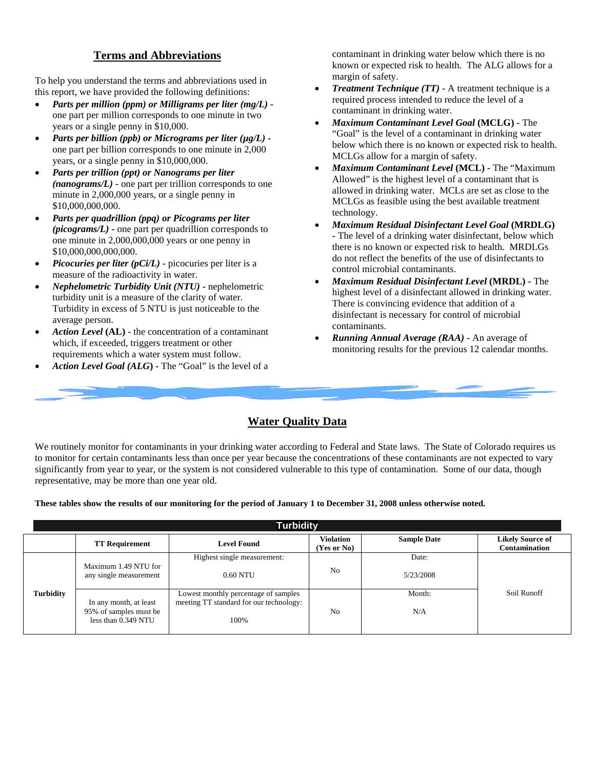# **Terms and Abbreviations**

To help you understand the terms and abbreviations used in this report, we have provided the following definitions:

- *Parts per million (ppm) or Milligrams per liter (mg/L)* one part per million corresponds to one minute in two years or a single penny in \$10,000.
- *Parts per billion (ppb) or Micrograms per liter (µg/L)* one part per billion corresponds to one minute in 2,000 years, or a single penny in \$10,000,000.
- *Parts per trillion (ppt) or Nanograms per liter (nanograms/L)* **-** one part per trillion corresponds to one minute in 2,000,000 years, or a single penny in \$10,000,000,000.
- *Parts per quadrillion (ppq) or Picograms per liter (picograms/L)* **-** one part per quadrillion corresponds to one minute in 2,000,000,000 years or one penny in \$10,000,000,000,000.
- *Picocuries per liter (pCi/L)* **-** picocuries per liter is a measure of the radioactivity in water.
- *Nephelometric Turbidity Unit (NTU)* **-** nephelometric turbidity unit is a measure of the clarity of water. Turbidity in excess of 5 NTU is just noticeable to the average person.
- *Action Level* **(AL) -** the concentration of a contaminant which, if exceeded, triggers treatment or other requirements which a water system must follow.
- *Action Level Goal (ALG***) -** The "Goal" is the level of a

contaminant in drinking water below which there is no known or expected risk to health. The ALG allows for a margin of safety.

- *Treatment Technique (TT)* **-** A treatment technique is a required process intended to reduce the level of a contaminant in drinking water.
- *Maximum Contaminant Level Goal* **(MCLG) -** The "Goal" is the level of a contaminant in drinking water below which there is no known or expected risk to health. MCLGs allow for a margin of safety.
- *Maximum Contaminant Level* **(MCL) -** The "Maximum Allowed" is the highest level of a contaminant that is allowed in drinking water. MCLs are set as close to the MCLGs as feasible using the best available treatment technology.
- *Maximum Residual Disinfectant Level Goal* **(MRDLG) -** The level of a drinking water disinfectant, below which there is no known or expected risk to health. MRDLGs do not reflect the benefits of the use of disinfectants to control microbial contaminants.
- *Maximum Residual Disinfectant Level* **(MRDL) -** The highest level of a disinfectant allowed in drinking water. There is convincing evidence that addition of a disinfectant is necessary for control of microbial contaminants.
- *Running Annual Average (RAA)* **-** An average of monitoring results for the previous 12 calendar months.

# **Water Quality Data**

We routinely monitor for contaminants in your drinking water according to Federal and State laws. The State of Colorado requires us to monitor for certain contaminants less than once per year because the concentrations of these contaminants are not expected to vary significantly from year to year, or the system is not considered vulnerable to this type of contamination. Some of our data, though representative, may be more than one year old.

**These tables show the results of our monitoring for the period of January 1 to December 31, 2008 unless otherwise noted.** 

|                  | <b>Turbidity</b>                                                                                                                                                   |                                         |                                 |                    |                                          |  |  |  |  |  |  |
|------------------|--------------------------------------------------------------------------------------------------------------------------------------------------------------------|-----------------------------------------|---------------------------------|--------------------|------------------------------------------|--|--|--|--|--|--|
|                  | <b>TT Requirement</b>                                                                                                                                              | Level Found                             | <b>Violation</b><br>(Yes or No) | <b>Sample Date</b> | <b>Likely Source of</b><br>Contamination |  |  |  |  |  |  |
|                  | Maximum 1.49 NTU for<br>any single measurement                                                                                                                     | Highest single measurement:<br>0.60 NTU | N <sub>0</sub>                  | Date:<br>5/23/2008 |                                          |  |  |  |  |  |  |
| <b>Turbidity</b> | Lowest monthly percentage of samples<br>meeting TT standard for our technology:<br>In any month, at least<br>95% of samples must be<br>less than 0.349 NTU<br>100% |                                         | N <sub>0</sub>                  | Month:<br>N/A      | Soil Runoff                              |  |  |  |  |  |  |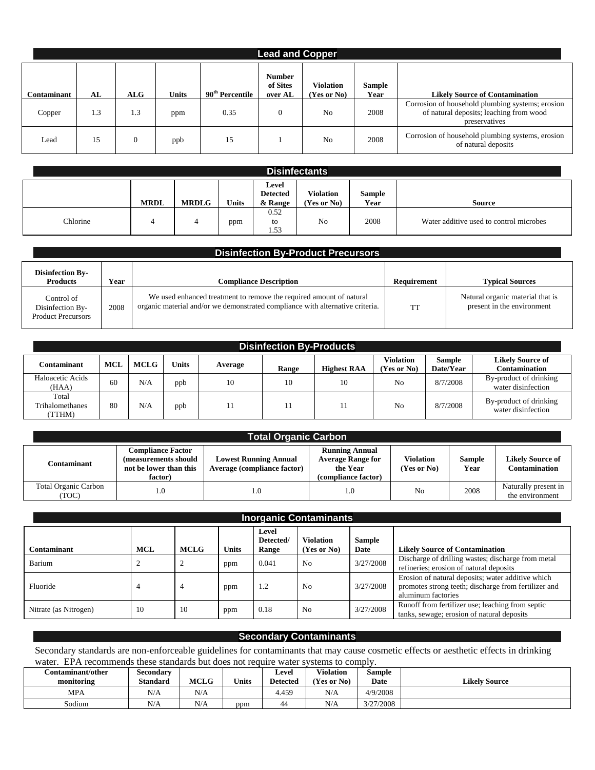|                    | <b>Lead and Copper</b> |          |              |                             |                                      |                                 |                       |                                                                                                              |  |  |  |
|--------------------|------------------------|----------|--------------|-----------------------------|--------------------------------------|---------------------------------|-----------------------|--------------------------------------------------------------------------------------------------------------|--|--|--|
| <b>Contaminant</b> | AL                     | ALG      | <b>Units</b> | 90 <sup>th</sup> Percentile | <b>Number</b><br>of Sites<br>over AL | <b>Violation</b><br>(Yes or No) | <b>Sample</b><br>Year | <b>Likely Source of Contamination</b>                                                                        |  |  |  |
| Copper             | 1.3                    | 1.3      | ppm          | 0.35                        |                                      | N <sub>0</sub>                  | 2008                  | Corrosion of household plumbing systems; erosion<br>of natural deposits; leaching from wood<br>preservatives |  |  |  |
| Lead               | 15                     | $\Omega$ | ppb          | 15                          |                                      | N <sub>0</sub>                  | 2008                  | Corrosion of household plumbing systems, erosion<br>of natural deposits                                      |  |  |  |

| <b>Disinfectants</b> |             |              |              |                                     |                                 |                       |                                         |  |  |
|----------------------|-------------|--------------|--------------|-------------------------------------|---------------------------------|-----------------------|-----------------------------------------|--|--|
|                      | <b>MRDL</b> | <b>MRDLG</b> | <b>Units</b> | Level<br><b>Detected</b><br>& Range | <b>Violation</b><br>(Yes or No) | <b>Sample</b><br>Year | <b>Source</b>                           |  |  |
| Chlorine             |             | 4            | ppm          | 0.52<br>to<br>1.53                  | No                              | 2008                  | Water additive used to control microbes |  |  |

|                                                             | <b>Disinfection By-Product Precursors</b> |                                                                                                                                                      |             |                                                                |  |  |  |  |  |  |
|-------------------------------------------------------------|-------------------------------------------|------------------------------------------------------------------------------------------------------------------------------------------------------|-------------|----------------------------------------------------------------|--|--|--|--|--|--|
| <b>Disinfection By-</b><br><b>Products</b>                  | Year                                      | <b>Compliance Description</b>                                                                                                                        | Requirement | <b>Typical Sources</b>                                         |  |  |  |  |  |  |
| Control of<br>Disinfection By-<br><b>Product Precursors</b> | 2008                                      | We used enhanced treatment to remove the required amount of natural<br>organic material and/or we demonstrated compliance with alternative criteria. | <b>TT</b>   | Natural organic material that is<br>present in the environment |  |  |  |  |  |  |

| <b>Disinfection By-Products</b>    |            |             |       |         |       |                    |                          |                            |                                                 |  |
|------------------------------------|------------|-------------|-------|---------|-------|--------------------|--------------------------|----------------------------|-------------------------------------------------|--|
| Contaminant                        | <b>MCL</b> | <b>MCLG</b> | Jnits | Average | Range | <b>Highest RAA</b> | Violation<br>(Yes or No) | <b>Sample</b><br>Date/Year | <b>Likely Source of</b><br><b>Contamination</b> |  |
| Haloacetic Acids<br>(HAA)          | 60         | N/A         | ppb   | 10      | 10    | 10                 | N <sub>0</sub>           | 8/7/2008                   | By-product of drinking<br>water disinfection    |  |
| Total<br>Trihalomethanes<br>(TTHM) | 80         | N/A         | ppb   | 11      |       | 11                 | N <sub>0</sub>           | 8/7/2008                   | By-product of drinking<br>water disinfection    |  |

|                                      | <b>Total Organic Carbon</b>                                                           |                                                             |                                                                                      |                                 |                |                                          |  |  |  |  |  |
|--------------------------------------|---------------------------------------------------------------------------------------|-------------------------------------------------------------|--------------------------------------------------------------------------------------|---------------------------------|----------------|------------------------------------------|--|--|--|--|--|
| Contaminant                          | <b>Compliance Factor</b><br>(measurements should<br>not be lower than this<br>factor) | <b>Lowest Running Annual</b><br>Average (compliance factor) | <b>Running Annual</b><br><b>Average Range for</b><br>the Year<br>(compliance factor) | <b>Violation</b><br>(Yes or No) | Sample<br>Year | <b>Likely Source of</b><br>Contamination |  |  |  |  |  |
| <b>Total Organic Carbon</b><br>(TOC) |                                                                                       | 0.1                                                         | 1.0                                                                                  | No                              | 2008           | Naturally present in<br>the environment  |  |  |  |  |  |

| <b>Inorganic Contaminants</b> |            |             |              |                                    |                                 |                       |                                                                                                                                 |  |  |
|-------------------------------|------------|-------------|--------------|------------------------------------|---------------------------------|-----------------------|---------------------------------------------------------------------------------------------------------------------------------|--|--|
| Contaminant                   | <b>MCL</b> | <b>MCLG</b> | <b>Units</b> | Level<br>Detected/<br><b>Range</b> | <b>Violation</b><br>(Yes or No) | <b>Sample</b><br>Date | <b>Likely Source of Contamination</b>                                                                                           |  |  |
| Barium                        |            | ∠           | ppm          | 0.041                              | No                              | 3/27/2008             | Discharge of drilling wastes; discharge from metal<br>refineries; erosion of natural deposits                                   |  |  |
| Fluoride                      |            | 4           | ppm          | 1.2                                | N <sub>o</sub>                  | 3/27/2008             | Erosion of natural deposits; water additive which<br>promotes strong teeth; discharge from fertilizer and<br>aluminum factories |  |  |
| Nitrate (as Nitrogen)         | 10         | 10          | ppm          | 0.18                               | N <sub>0</sub>                  | 3/27/2008             | Runoff from fertilizer use; leaching from septic<br>tanks, sewage; erosion of natural deposits                                  |  |  |

## **Secondary Contaminants**

Secondary standards are non-enforceable guidelines for contaminants that may cause cosmetic effects or aesthetic effects in drinking water. EPA recommends these standards but does not require water systems to comply.

| <b>Contaminant/other</b><br>monitoring | Secondary<br><b>Standard</b> | MCLG | <b>Units</b> | Level<br><b>Detected</b> | Violation<br><b>Yes or No</b> ) | Sample<br><b>Date</b> | <b>Likely Source</b> |
|----------------------------------------|------------------------------|------|--------------|--------------------------|---------------------------------|-----------------------|----------------------|
| <b>MPA</b>                             | N/A                          | N/A  |              | 4.459                    | N/A                             | 4/9/2008              |                      |
| Sodium                                 | N/A                          | N/A  | ppm          | 44                       | N/A                             | 3/27/2008             |                      |